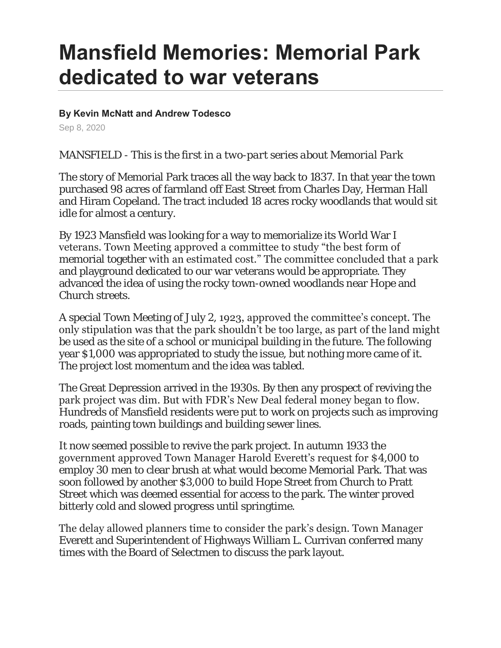## **Mansfield Memories: Memorial Park dedicated to war veterans**

## **By Kevin McNatt and Andrew Todesco**

Sep 8, 2020

## *MANSFIELD - This is the first in a two-part series about Memorial Park*

The story of Memorial Park traces all the way back to 1837. In that year the town purchased 98 acres of farmland off East Street from Charles Day, Herman Hall and Hiram Copeland. The tract included 18 acres rocky woodlands that would sit idle for almost a century.

By 1923 Mansfield was looking for a way to memorialize its World War I veterans. Town Meeting approved a committee to study "the best form of memorial together with an estimated cost." The committee concluded that a park and playground dedicated to our war veterans would be appropriate. They advanced the idea of using the rocky town-owned woodlands near Hope and Church streets.

A special Town Meeting of July 2, 1923, approved the committee's concept. The only stipulation was that the park shouldn't be too large, as part of the land might be used as the site of a school or municipal building in the future. The following year \$1,000 was appropriated to study the issue, but nothing more came of it. The project lost momentum and the idea was tabled.

The Great Depression arrived in the 1930s. By then any prospect of reviving the park project was dim. But with FDR's New Deal federal money began to flow. Hundreds of Mansfield residents were put to work on projects such as improving roads, painting town buildings and building sewer lines.

It now seemed possible to revive the park project. In autumn 1933 the government approved Town Manager Harold Everett's request for \$4,000 to employ 30 men to clear brush at what would become Memorial Park. That was soon followed by another \$3,000 to build Hope Street from Church to Pratt Street which was deemed essential for access to the park. The winter proved bitterly cold and slowed progress until springtime.

The delay allowed planners time to consider the park's design. Town Manager Everett and Superintendent of Highways William L. Currivan conferred many times with the Board of Selectmen to discuss the park layout.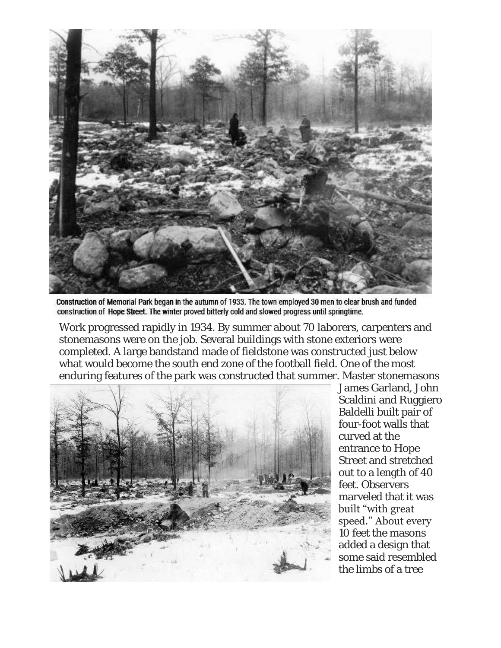

Construction of Memorial Park began in the autumn of 1933. The town employed 30 men to clear brush and funded construction of Hope Street. The winter proved bitterly cold and slowed progress until springtime.

Work progressed rapidly in 1934. By summer about 70 laborers, carpenters and stonemasons were on the job. Several buildings with stone exteriors were completed. A large bandstand made of fieldstone was constructed just below what would become the south end zone of the football field. One of the most enduring features of the park was constructed that summer. Master stonemasons



James Garland, John Scaldini and Ruggiero Baldelli built pair of four-foot walls that curved at the entrance to Hope Street and stretched out to a length of 40 feet. Observers marveled that it was built "with great speed." About every 10 feet the masons added a design that some said resembled the limbs of a tree